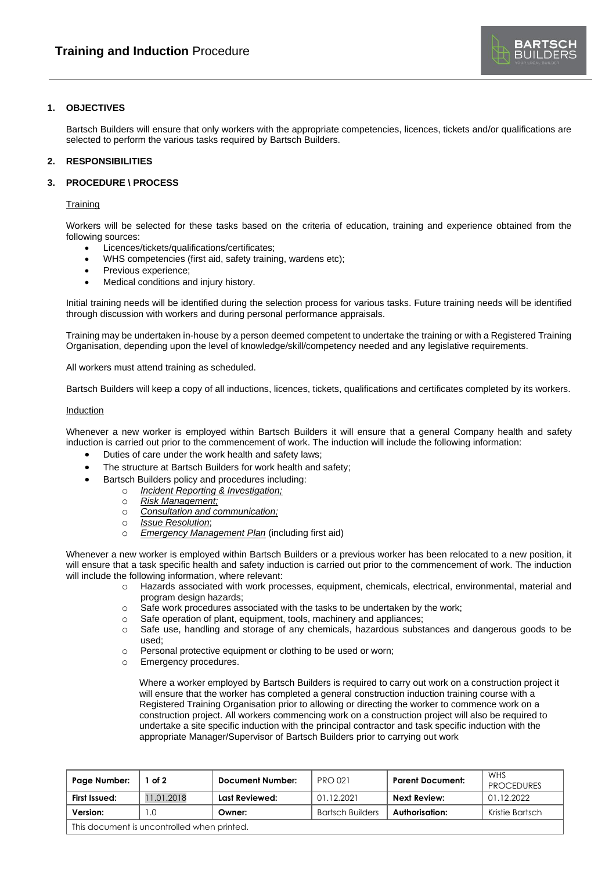

# **1. OBJECTIVES**

Bartsch Builders will ensure that only workers with the appropriate competencies, licences, tickets and/or qualifications are selected to perform the various tasks required by Bartsch Builders.

# **2. RESPONSIBILITIES**

# **3. PROCEDURE \ PROCESS**

### **Training**

Workers will be selected for these tasks based on the criteria of education, training and experience obtained from the following sources:

- Licences/tickets/qualifications/certificates;
- WHS competencies (first aid, safety training, wardens etc);
- Previous experience:
- Medical conditions and injury history.

Initial training needs will be identified during the selection process for various tasks. Future training needs will be identified through discussion with workers and during personal performance appraisals.

Training may be undertaken in-house by a person deemed competent to undertake the training or with a Registered Training Organisation, depending upon the level of knowledge/skill/competency needed and any legislative requirements.

All workers must attend training as scheduled.

Bartsch Builders will keep a copy of all inductions, licences, tickets, qualifications and certificates completed by its workers.

### **Induction**

Whenever a new worker is employed within Bartsch Builders it will ensure that a general Company health and safety induction is carried out prior to the commencement of work. The induction will include the following information:

- Duties of care under the work health and safety laws;
- The structure at Bartsch Builders for work health and safety;
- Bartsch Builders policy and procedures including:
	- o *Incident Reporting & Investigation;*
	- o *Risk Management;*
	- o *Consultation and communication;*
	- o *Issue Resolution*;
	- o *Emergency Management Plan* (including first aid)

Whenever a new worker is employed within Bartsch Builders or a previous worker has been relocated to a new position, it will ensure that a task specific health and safety induction is carried out prior to the commencement of work. The induction will include the following information, where relevant:

- o Hazards associated with work processes, equipment, chemicals, electrical, environmental, material and program design hazards;
- o Safe work procedures associated with the tasks to be undertaken by the work;
- o Safe operation of plant, equipment, tools, machinery and appliances;
- o Safe use, handling and storage of any chemicals, hazardous substances and dangerous goods to be used;
- o Personal protective equipment or clothing to be used or worn;
- o Emergency procedures.

Where a worker employed by Bartsch Builders is required to carry out work on a construction project it will ensure that the worker has completed a general construction induction training course with a Registered Training Organisation prior to allowing or directing the worker to commence work on a construction project. All workers commencing work on a construction project will also be required to undertake a site specific induction with the principal contractor and task specific induction with the appropriate Manager/Supervisor of Bartsch Builders prior to carrying out work

| Page Number:                                | of 2       | <b>Document Number:</b> | <b>PRO 021</b>          | <b>Parent Document:</b> | WHS<br><b>PROCEDURES</b> |  |  |  |
|---------------------------------------------|------------|-------------------------|-------------------------|-------------------------|--------------------------|--|--|--|
| First Issued:                               | 11.01.2018 | Last Reviewed:          | 01.12.2021              | Next Review:            | 01.12.2022               |  |  |  |
| Version:                                    | .0         | Owner:                  | <b>Bartsch Builders</b> | Authorisation:          | Kristie Bartsch          |  |  |  |
| This document is uncontrolled when printed. |            |                         |                         |                         |                          |  |  |  |